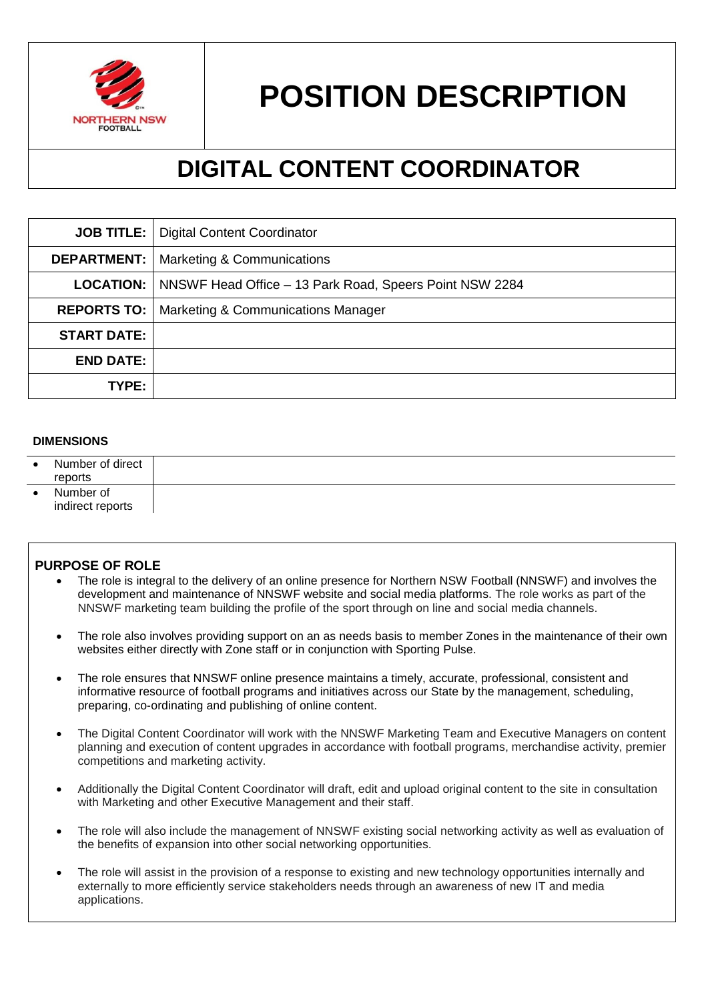

# **POSITION DESCRIPTION**

## **DIGITAL CONTENT COORDINATOR**

|                    | <b>JOB TITLE:</b>   Digital Content Coordinator                            |
|--------------------|----------------------------------------------------------------------------|
| <b>DEPARTMENT:</b> | <b>Marketing &amp; Communications</b>                                      |
|                    | <b>LOCATION:</b>   NNSWF Head Office – 13 Park Road, Speers Point NSW 2284 |
| <b>REPORTS TO:</b> | Marketing & Communications Manager                                         |
| <b>START DATE:</b> |                                                                            |
| <b>END DATE:</b>   |                                                                            |
| TYPE:              |                                                                            |

## **DIMENSIONS**

| $\bullet$ | Number of direct<br>reports   |  |
|-----------|-------------------------------|--|
|           | Number of<br>indirect reports |  |

### **PURPOSE OF ROLE**

- The role is integral to the delivery of an online presence for Northern NSW Football (NNSWF) and involves the development and maintenance of NNSWF website and social media platforms. The role works as part of the NNSWF marketing team building the profile of the sport through on line and social media channels.
- The role also involves providing support on an as needs basis to member Zones in the maintenance of their own websites either directly with Zone staff or in conjunction with Sporting Pulse.
- The role ensures that NNSWF online presence maintains a timely, accurate, professional, consistent and informative resource of football programs and initiatives across our State by the management, scheduling, preparing, co-ordinating and publishing of online content.
- The Digital Content Coordinator will work with the NNSWF Marketing Team and Executive Managers on content planning and execution of content upgrades in accordance with football programs, merchandise activity, premier competitions and marketing activity.
- Additionally the Digital Content Coordinator will draft, edit and upload original content to the site in consultation with Marketing and other Executive Management and their staff.
- The role will also include the management of NNSWF existing social networking activity as well as evaluation of the benefits of expansion into other social networking opportunities.
- The role will assist in the provision of a response to existing and new technology opportunities internally and externally to more efficiently service stakeholders needs through an awareness of new IT and media applications.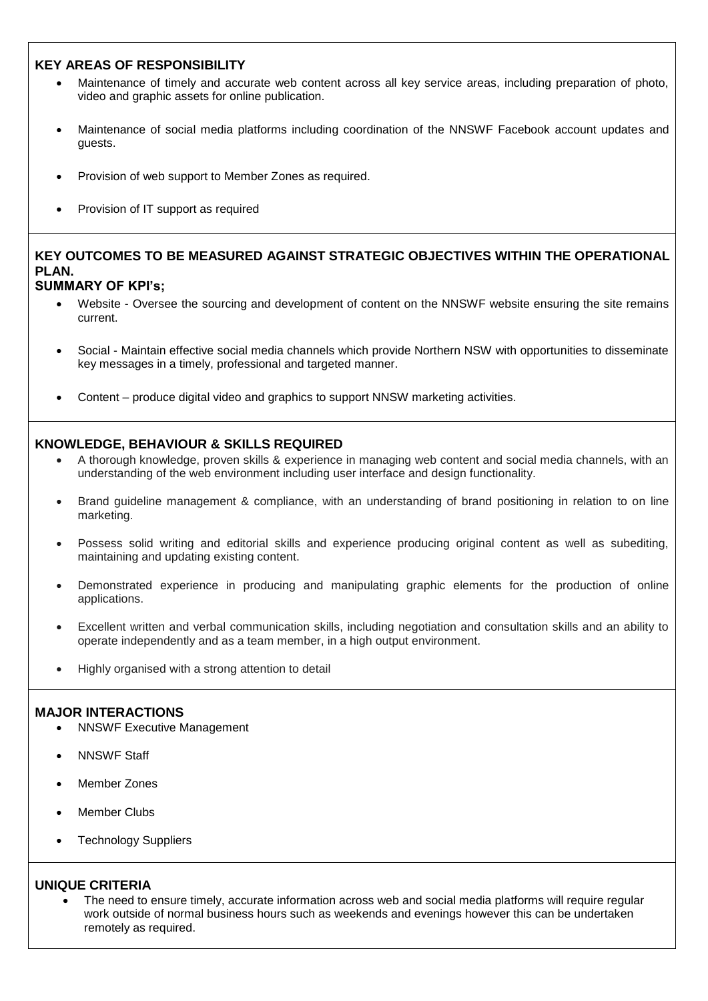## **KEY AREAS OF RESPONSIBILITY**

- Maintenance of timely and accurate web content across all key service areas, including preparation of photo, video and graphic assets for online publication.
- Maintenance of social media platforms including coordination of the NNSWF Facebook account updates and guests.
- Provision of web support to Member Zones as required.
- Provision of IT support as required

## **KEY OUTCOMES TO BE MEASURED AGAINST STRATEGIC OBJECTIVES WITHIN THE OPERATIONAL PLAN.**

## **SUMMARY OF KPI's;**

- Website Oversee the sourcing and development of content on the NNSWF website ensuring the site remains current.
- Social Maintain effective social media channels which provide Northern NSW with opportunities to disseminate key messages in a timely, professional and targeted manner.
- Content produce digital video and graphics to support NNSW marketing activities.

## **KNOWLEDGE, BEHAVIOUR & SKILLS REQUIRED**

- A thorough knowledge, proven skills & experience in managing web content and social media channels, with an understanding of the web environment including user interface and design functionality.
- Brand guideline management & compliance, with an understanding of brand positioning in relation to on line marketing.
- Possess solid writing and editorial skills and experience producing original content as well as subediting, maintaining and updating existing content.
- Demonstrated experience in producing and manipulating graphic elements for the production of online applications.
- Excellent written and verbal communication skills, including negotiation and consultation skills and an ability to operate independently and as a team member, in a high output environment.
- Highly organised with a strong attention to detail

### **MAJOR INTERACTIONS**

- NNSWF Executive Management
- NNSWF Staff
- Member Zones
- Member Clubs
- Technology Suppliers

### **UNIQUE CRITERIA**

 The need to ensure timely, accurate information across web and social media platforms will require regular work outside of normal business hours such as weekends and evenings however this can be undertaken remotely as required.